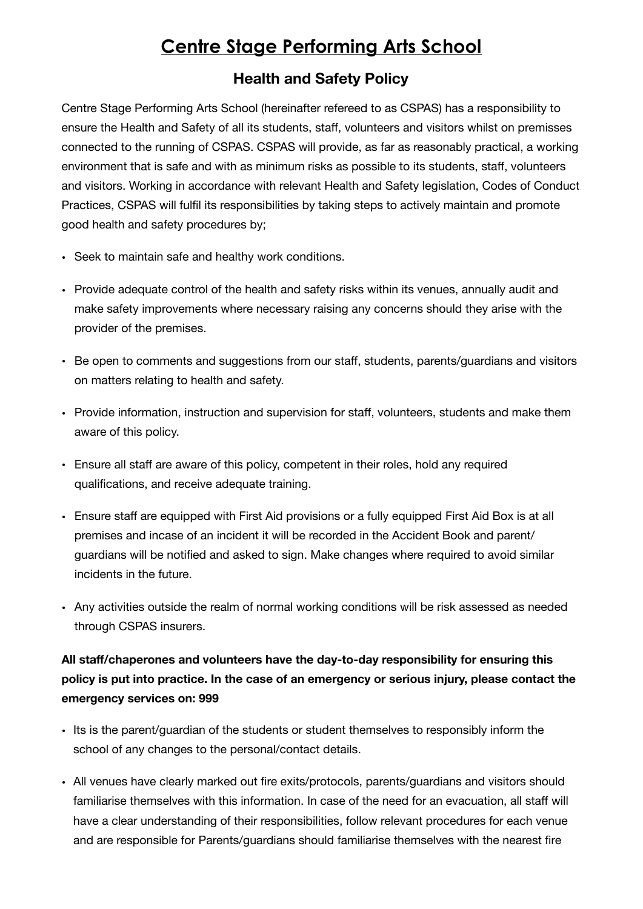## **Centre Stage Performing Arts School**

## **Health and Safety Policy**

Centre Stage Performing Arts School (hereinafter refereed to as CSPAS) has a responsibility to ensure the Health and Safety of all its students, staff, volunteers and visitors whilst on premisses connected to the running of CSPAS. CSPAS will provide, as far as reasonably practical, a working environment that is safe and with as minimum risks as possible to its students, staff, volunteers and visitors. Working in accordance with relevant Health and Safety legislation, Codes of Conduct Practices, CSPAS will fulfil its responsibilities by taking steps to actively maintain and promote good health and safety procedures by;

- Seek to maintain safe and healthy work conditions.
- Provide adequate control of the health and safety risks within its venues, annually audit and make safety improvements where necessary raising any concerns should they arise with the provider of the premises.
- Be open to comments and suggestions from our staff, students, parents/guardians and visitors on matters relating to health and safety.
- Provide information, instruction and supervision for staff, volunteers, students and make them aware of this policy.
- Ensure all staff are aware of this policy, competent in their roles, hold any required qualifications, and receive adequate training.
- Ensure staff are equipped with First Aid provisions or a fully equipped First Aid Box is at all premises and incase of an incident it will be recorded in the Accident Book and parent/ guardians will be notified and asked to sign. Make changes where required to avoid similar incidents in the future.
- Any activities outside the realm of normal working conditions will be risk assessed as needed through CSPAS insurers.

## **All staff/chaperones and volunteers have the day-to-day responsibility for ensuring this policy is put into practice. In the case of an emergency or serious injury, please contact the emergency services on: 999**

- Its is the parent/guardian of the students or student themselves to responsibly inform the school of any changes to the personal/contact details.
- All venues have clearly marked out fire exits/protocols, parents/guardians and visitors should familiarise themselves with this information. In case of the need for an evacuation, all staff will have a clear understanding of their responsibilities, follow relevant procedures for each venue and are responsible for Parents/guardians should familiarise themselves with the nearest fire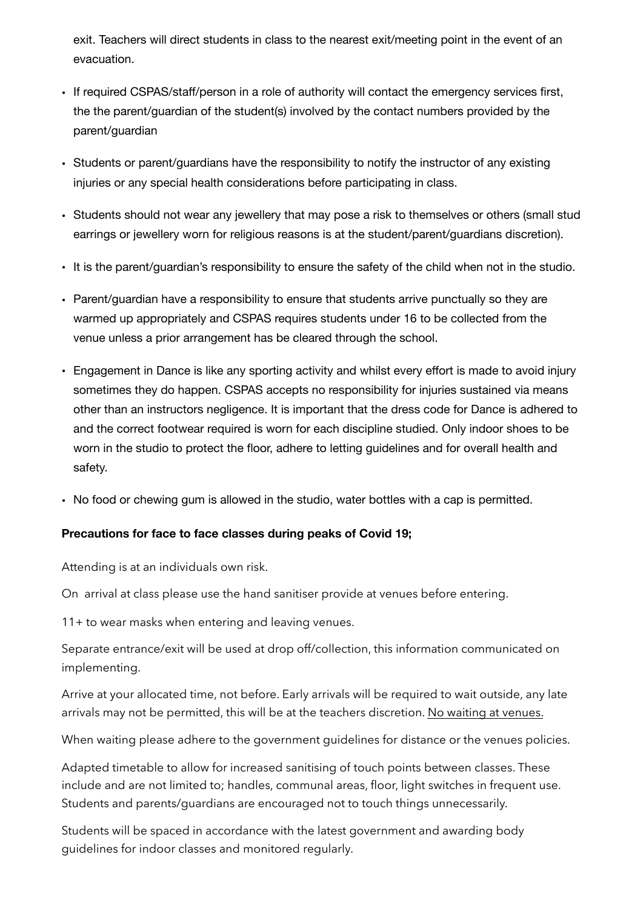exit. Teachers will direct students in class to the nearest exit/meeting point in the event of an evacuation.

- If required CSPAS/staff/person in a role of authority will contact the emergency services first, the the parent/guardian of the student(s) involved by the contact numbers provided by the parent/guardian
- Students or parent/guardians have the responsibility to notify the instructor of any existing injuries or any special health considerations before participating in class.
- Students should not wear any jewellery that may pose a risk to themselves or others (small stud earrings or jewellery worn for religious reasons is at the student/parent/guardians discretion).
- It is the parent/guardian's responsibility to ensure the safety of the child when not in the studio.
- Parent/guardian have a responsibility to ensure that students arrive punctually so they are warmed up appropriately and CSPAS requires students under 16 to be collected from the venue unless a prior arrangement has be cleared through the school.
- Engagement in Dance is like any sporting activity and whilst every effort is made to avoid injury sometimes they do happen. CSPAS accepts no responsibility for injuries sustained via means other than an instructors negligence. It is important that the dress code for Dance is adhered to and the correct footwear required is worn for each discipline studied. Only indoor shoes to be worn in the studio to protect the floor, adhere to letting guidelines and for overall health and safety.
- No food or chewing gum is allowed in the studio, water bottles with a cap is permitted.

## **Precautions for face to face classes during peaks of Covid 19;**

Attending is at an individuals own risk.

On arrival at class please use the hand sanitiser provide at venues before entering.

11+ to wear masks when entering and leaving venues.

Separate entrance/exit will be used at drop off/collection, this information communicated on implementing.

Arrive at your allocated time, not before. Early arrivals will be required to wait outside, any late arrivals may not be permitted, this will be at the teachers discretion. No waiting at venues.

When waiting please adhere to the government guidelines for distance or the venues policies.

Adapted timetable to allow for increased sanitising of touch points between classes. These include and are not limited to; handles, communal areas, floor, light switches in frequent use. Students and parents/guardians are encouraged not to touch things unnecessarily.

Students will be spaced in accordance with the latest government and awarding body guidelines for indoor classes and monitored regularly.